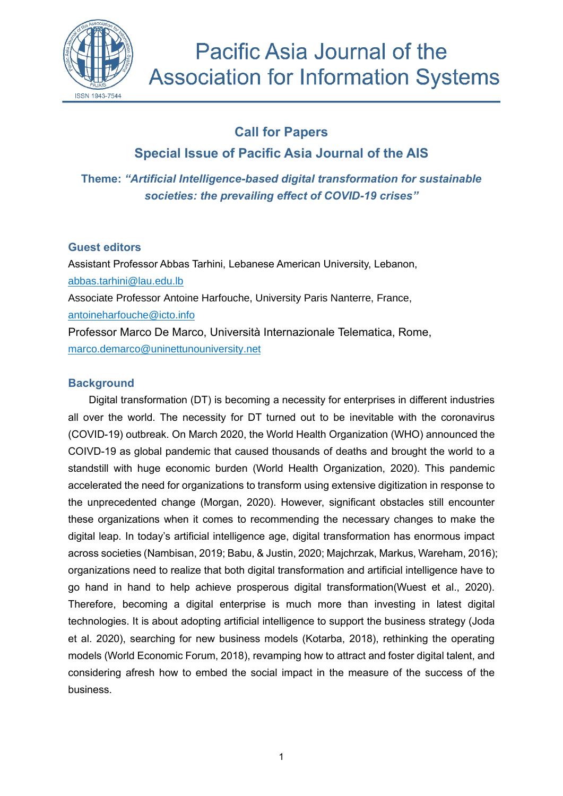

# **Call for Papers**

**Special Issue of Pacific Asia Journal of the AIS**

**Theme:** *"Artificial Intelligence-based digital transformation for sustainable societies: the prevailing effect of COVID-19 crises"* 

## **Guest editors**

Assistant Professor Abbas Tarhini, Lebanese American University, Lebanon, abbas.tarhini@lau.edu.lb Associate Professor Antoine Harfouche, University Paris Nanterre, France, antoineharfouche@icto.info Professor Marco De Marco, Università Internazionale Telematica, Rome, [marco.demarco@uninettunouniversity.net](mailto:marco.demarco@uninettunouniversity.net)

## **Background**

Digital transformation (DT) is becoming a necessity for enterprises in different industries all over the world. The necessity for DT turned out to be inevitable with the coronavirus (COVID-19) outbreak. On March 2020, the World Health Organization (WHO) announced the COIVD-19 as global pandemic that caused thousands of deaths and brought the world to a standstill with huge economic burden (World Health Organization, 2020). This pandemic accelerated the need for organizations to transform using extensive digitization in response to the unprecedented change (Morgan, 2020). However, significant obstacles still encounter these organizations when it comes to recommending the necessary changes to make the digital leap. In today's artificial intelligence age, digital transformation has enormous impact across societies (Nambisan, 2019; Babu, & Justin, 2020; Majchrzak, Markus, Wareham, 2016); organizations need to realize that both digital transformation and artificial intelligence have to go hand in hand to help achieve prosperous digital transformation(Wuest et al., 2020). Therefore, becoming a digital enterprise is much more than investing in latest digital technologies. It is about adopting artificial intelligence to support the business strategy (Joda et al. 2020), searching for new business models (Kotarba, 2018), rethinking the operating models (World Economic Forum, 2018), revamping how to attract and foster digital talent, and considering afresh how to embed the social impact in the measure of the success of the business.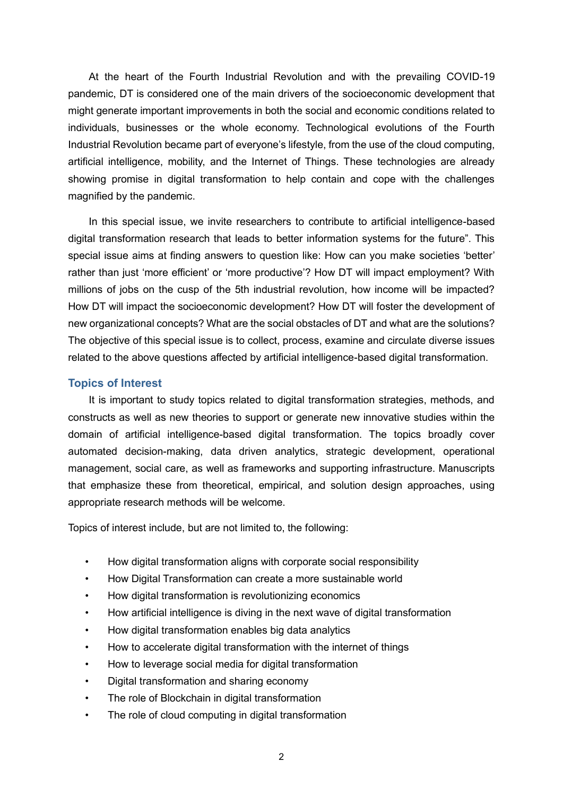At the heart of the Fourth Industrial Revolution and with the prevailing COVID-19 pandemic, DT is considered one of the main drivers of the socioeconomic development that might generate important improvements in both the social and economic conditions related to individuals, businesses or the whole economy. Technological evolutions of the Fourth Industrial Revolution became part of everyone's lifestyle, from the use of the cloud computing, artificial intelligence, mobility, and the Internet of Things. These technologies are already showing promise in digital transformation to help contain and cope with the challenges magnified by the pandemic.

In this special issue, we invite researchers to contribute to artificial intelligence-based digital transformation research that leads to better information systems for the future". This special issue aims at finding answers to question like: How can you make societies 'better' rather than just 'more efficient' or 'more productive'? How DT will impact employment? With millions of jobs on the cusp of the 5th industrial revolution, how income will be impacted? How DT will impact the socioeconomic development? How DT will foster the development of new organizational concepts? What are the social obstacles of DT and what are the solutions? The objective of this special issue is to collect, process, examine and circulate diverse issues related to the above questions affected by artificial intelligence-based digital transformation.

#### **Topics of Interest**

It is important to study topics related to digital transformation strategies, methods, and constructs as well as new theories to support or generate new innovative studies within the domain of artificial intelligence-based digital transformation. The topics broadly cover automated decision-making, data driven analytics, strategic development, operational management, social care, as well as frameworks and supporting infrastructure. Manuscripts that emphasize these from theoretical, empirical, and solution design approaches, using appropriate research methods will be welcome.

Topics of interest include, but are not limited to, the following:

- How digital transformation aligns with corporate social responsibility
- How Digital Transformation can create a more sustainable world
- How digital transformation is revolutionizing economics
- How artificial intelligence is diving in the next wave of digital transformation
- How digital transformation enables big data analytics
- How to accelerate digital transformation with the internet of things
- How to leverage social media for digital transformation
- Digital transformation and sharing economy
- The role of Blockchain in digital transformation
- The role of cloud computing in digital transformation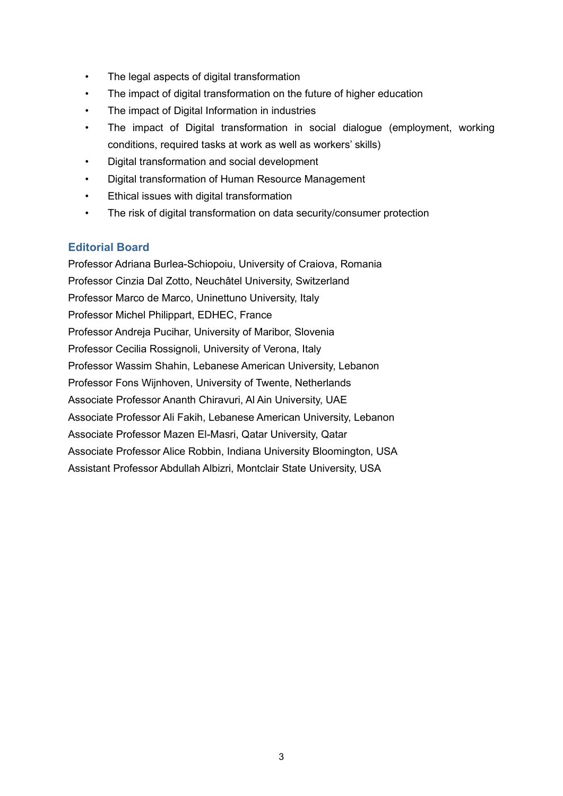- The legal aspects of digital transformation
- The impact of digital transformation on the future of higher education
- The impact of Digital Information in industries
- The impact of Digital transformation in social dialogue (employment, working conditions, required tasks at work as well as workers' skills)
- Digital transformation and social development
- Digital transformation of Human Resource Management
- Ethical issues with digital transformation
- The risk of digital transformation on data security/consumer protection

### **Editorial Board**

Professor Adriana Burlea-Schiopoiu, University of Craiova, Romania Professor Cinzia Dal Zotto, Neuchâtel University, Switzerland Professor Marco de Marco, Uninettuno University, Italy Professor Michel Philippart, EDHEC, France Professor Andreja Pucihar, University of Maribor, Slovenia Professor Cecilia Rossignoli, University of Verona, Italy Professor Wassim Shahin, Lebanese American University, Lebanon Professor Fons Wijnhoven, University of Twente, Netherlands Associate Professor Ananth Chiravuri, Al Ain University, UAE Associate Professor Ali Fakih, Lebanese American University, Lebanon Associate Professor Mazen El-Masri, Qatar University, Qatar Associate Professor Alice Robbin, Indiana University Bloomington, USA Assistant Professor Abdullah Albizri, Montclair State University, USA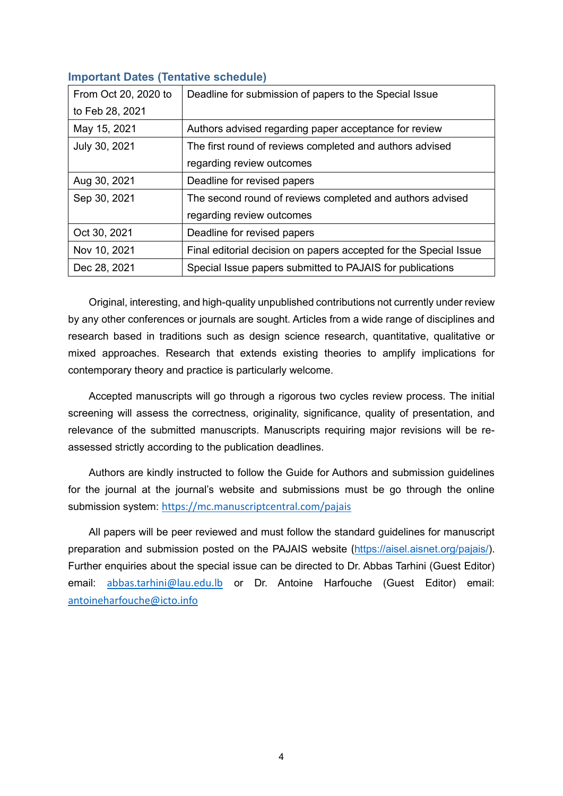| From Oct 20, 2020 to | Deadline for submission of papers to the Special Issue            |
|----------------------|-------------------------------------------------------------------|
| to Feb 28, 2021      |                                                                   |
| May 15, 2021         | Authors advised regarding paper acceptance for review             |
| July 30, 2021        | The first round of reviews completed and authors advised          |
|                      | regarding review outcomes                                         |
| Aug 30, 2021         | Deadline for revised papers                                       |
| Sep 30, 2021         | The second round of reviews completed and authors advised         |
|                      | regarding review outcomes                                         |
| Oct 30, 2021         | Deadline for revised papers                                       |
| Nov 10, 2021         | Final editorial decision on papers accepted for the Special Issue |
| Dec 28, 2021         | Special Issue papers submitted to PAJAIS for publications         |
|                      |                                                                   |

## **Important Dates (Tentative schedule)**

Original, interesting, and high-quality unpublished contributions not currently under review by any other conferences or journals are sought. Articles from a wide range of disciplines and research based in traditions such as design science research, quantitative, qualitative or mixed approaches. Research that extends existing theories to amplify implications for contemporary theory and practice is particularly welcome.

Accepted manuscripts will go through a rigorous two cycles review process. The initial screening will assess the correctness, originality, significance, quality of presentation, and relevance of the submitted manuscripts. Manuscripts requiring major revisions will be reassessed strictly according to the publication deadlines.

Authors are kindly instructed to follow the Guide for Authors and submission guidelines for the journal at the journal's website and submissions must be go through the online submission system: <https://mc.manuscriptcentral.com/pajais>

All papers will be peer reviewed and must follow the standard guidelines for manuscript preparation and submission posted on the PAJAIS website ([https://aisel.aisnet.org/pajais/\)](https://aisel.aisnet.org/pajais/). Further enquiries about the special issue can be directed to Dr. Abbas Tarhini (Guest Editor) email: [abbas.tarhini@lau.edu.lb](mailto:abbas.tarhini@lau.edu.lb) or Dr. Antoine Harfouche (Guest Editor) email: [antoineharfouche@icto.info](mailto:antoineharfouche@icto.info)